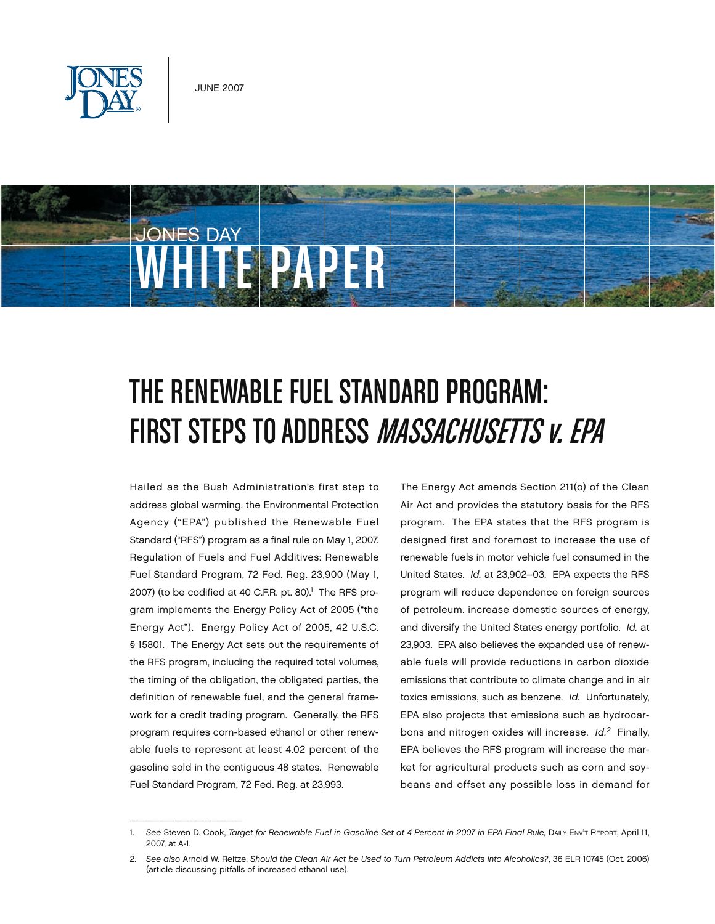



# The Renewable Fuel Standard Program: FIRST STEPS TO ADDRESS *MASSACHUSETTS V. EPA*

Hailed as the Bush Administration's first step to address global warming, the Environmental Protection Agency ("EPA") published the Renewable Fuel Standard ("RFS") program as a final rule on May 1, 2007. Regulation of Fuels and Fuel Additives: Renewable Fuel Standard Program, 72 Fed. Reg. 23,900 (May 1, 2007) (to be codified at 40 C.F.R. pt. 80).<sup>1</sup> The RFS program implements the Energy Policy Act of 2005 ("the Energy Act"). Energy Policy Act of 2005, 42 U.S.C. § 15801. The Energy Act sets out the requirements of the RFS program, including the required total volumes, the timing of the obligation, the obligated parties, the definition of renewable fuel, and the general framework for a credit trading program. Generally, the RFS program requires corn-based ethanol or other renewable fuels to represent at least 4.02 percent of the gasoline sold in the contiguous 48 states. Renewable Fuel Standard Program, 72 Fed. Reg. at 23,993.

 $\mathcal{L}=\mathcal{L}=\mathcal{L}=\mathcal{L}=\mathcal{L}=\mathcal{L}=\mathcal{L}=\mathcal{L}=\mathcal{L}=\mathcal{L}=\mathcal{L}=\mathcal{L}=\mathcal{L}=\mathcal{L}=\mathcal{L}=\mathcal{L}=\mathcal{L}=\mathcal{L}=\mathcal{L}=\mathcal{L}=\mathcal{L}=\mathcal{L}=\mathcal{L}=\mathcal{L}=\mathcal{L}=\mathcal{L}=\mathcal{L}=\mathcal{L}=\mathcal{L}=\mathcal{L}=\mathcal{L}=\mathcal{L}=\mathcal{L}=\mathcal{L}=\mathcal{L}=\mathcal{L}=\mathcal{$ 

The Energy Act amends Section 211(o) of the Clean Air Act and provides the statutory basis for the RFS program. The EPA states that the RFS program is designed first and foremost to increase the use of renewable fuels in motor vehicle fuel consumed in the United States. *Id.* at 23,902–03. EPA expects the RFS program will reduce dependence on foreign sources of petroleum, increase domestic sources of energy, and diversify the United States energy portfolio. *Id.* at 23,903. EPA also believes the expanded use of renewable fuels will provide reductions in carbon dioxide emissions that contribute to climate change and in air toxics emissions, such as benzene. *Id.* Unfortunately, EPA also projects that emissions such as hydrocarbons and nitrogen oxides will increase. *Id.2* Finally, EPA believes the RFS program will increase the market for agricultural products such as corn and soybeans and offset any possible loss in demand for

See Steven D. Cook, *Target for Renewable Fuel in Gasoline Set at 4 Percent in 2007 in EPA Final Rule, DAILY Env't Report, April 11,* 2007, at A-1.

<sup>2.</sup> *See also* Arnold W. Reitze, *Should the Clean Air Act be Used to Turn Petroleum Addicts into Alcoholics?*, 36 ELR 10745 (Oct. 2006) (article discussing pitfalls of increased ethanol use).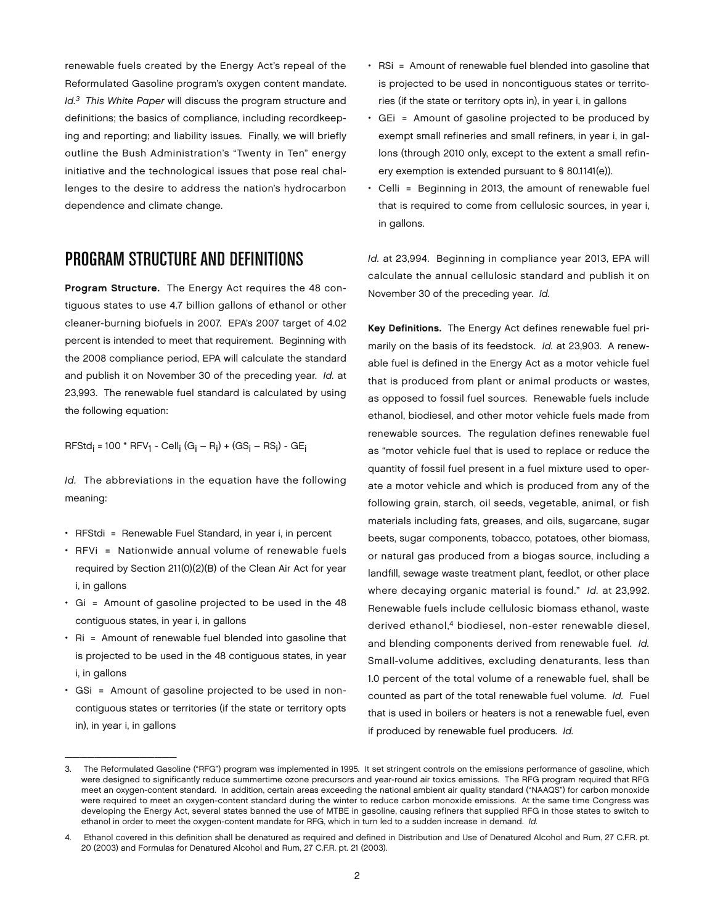renewable fuels created by the Energy Act's repeal of the Reformulated Gasoline program's oxygen content mandate. *Id.3 This White Paper* will discuss the program structure and definitions; the basics of compliance, including recordkeeping and reporting; and liability issues. Finally, we will briefly outline the Bush Administration's "Twenty in Ten" energy initiative and the technological issues that pose real challenges to the desire to address the nation's hydrocarbon dependence and climate change.

### Program Structure and Definitions

Program Structure. The Energy Act requires the 48 contiguous states to use 4.7 billion gallons of ethanol or other cleaner-burning biofuels in 2007. EPA's 2007 target of 4.02 percent is intended to meet that requirement. Beginning with the 2008 compliance period, EPA will calculate the standard and publish it on November 30 of the preceding year. *Id.* at 23,993. The renewable fuel standard is calculated by using the following equation:

RFStd<sub>i</sub> = 100 \* RFV<sub>1</sub> - Cell<sub>i</sub> (G<sub>i</sub> – R<sub>i</sub>) + (GS<sub>i</sub> – RS<sub>i</sub>) - GE<sub>i</sub>

*Id.* The abbreviations in the equation have the following meaning:

- RFStdi = Renewable Fuel Standard, in year i, in percent
- RFVi = Nationwide annual volume of renewable fuels required by Section 211(0)(2)(B) of the Clean Air Act for year i, in gallons
- Gi = Amount of gasoline projected to be used in the 48 contiguous states, in year i, in gallons
- Ri = Amount of renewable fuel blended into gasoline that is projected to be used in the 48 contiguous states, in year i, in gallons
- GSi = Amount of gasoline projected to be used in noncontiguous states or territories (if the state or territory opts in), in year i, in gallons

\_\_\_\_\_\_\_\_\_\_\_\_\_\_\_

- RSi = Amount of renewable fuel blended into gasoline that is projected to be used in noncontiguous states or territories (if the state or territory opts in), in year i, in gallons
- GEi = Amount of gasoline projected to be produced by exempt small refineries and small refiners, in year i, in gallons (through 2010 only, except to the extent a small refinery exemption is extended pursuant to § 80.1141(e)).
- Celli = Beginning in 2013, the amount of renewable fuel that is required to come from cellulosic sources, in year i, in gallons.

*Id.* at 23,994. Beginning in compliance year 2013, EPA will calculate the annual cellulosic standard and publish it on November 30 of the preceding year. *Id.*

Key Definitions. The Energy Act defines renewable fuel primarily on the basis of its feedstock. *Id.* at 23,903. A renewable fuel is defined in the Energy Act as a motor vehicle fuel that is produced from plant or animal products or wastes, as opposed to fossil fuel sources. Renewable fuels include ethanol, biodiesel, and other motor vehicle fuels made from renewable sources. The regulation defines renewable fuel as "motor vehicle fuel that is used to replace or reduce the quantity of fossil fuel present in a fuel mixture used to operate a motor vehicle and which is produced from any of the following grain, starch, oil seeds, vegetable, animal, or fish materials including fats, greases, and oils, sugarcane, sugar beets, sugar components, tobacco, potatoes, other biomass, or natural gas produced from a biogas source, including a landfill, sewage waste treatment plant, feedlot, or other place where decaying organic material is found." *Id.* at 23,992. Renewable fuels include cellulosic biomass ethanol, waste derived ethanol.<sup>4</sup> biodiesel, non-ester renewable diesel, and blending components derived from renewable fuel. *Id.* Small-volume additives, excluding denaturants, less than 1.0 percent of the total volume of a renewable fuel, shall be counted as part of the total renewable fuel volume. *Id.* Fuel that is used in boilers or heaters is not a renewable fuel, even if produced by renewable fuel producers. *Id.*

<sup>3.</sup> The Reformulated Gasoline ("RFG") program was implemented in 1995. It set stringent controls on the emissions performance of gasoline, which were designed to significantly reduce summertime ozone precursors and year-round air toxics emissions. The RFG program required that RFG meet an oxygen-content standard. In addition, certain areas exceeding the national ambient air quality standard ("NAAQS") for carbon monoxide were required to meet an oxygen-content standard during the winter to reduce carbon monoxide emissions. At the same time Congress was developing the Energy Act, several states banned the use of MTBE in gasoline, causing refiners that supplied RFG in those states to switch to ethanol in order to meet the oxygen-content mandate for RFG, which in turn led to a sudden increase in demand. *Id.*

<sup>4.</sup> Ethanol covered in this definition shall be denatured as required and defined in Distribution and Use of Denatured Alcohol and Rum, 27 C.F.R. pt. 20 (2003) and Formulas for Denatured Alcohol and Rum, 27 C.F.R. pt. 21 (2003).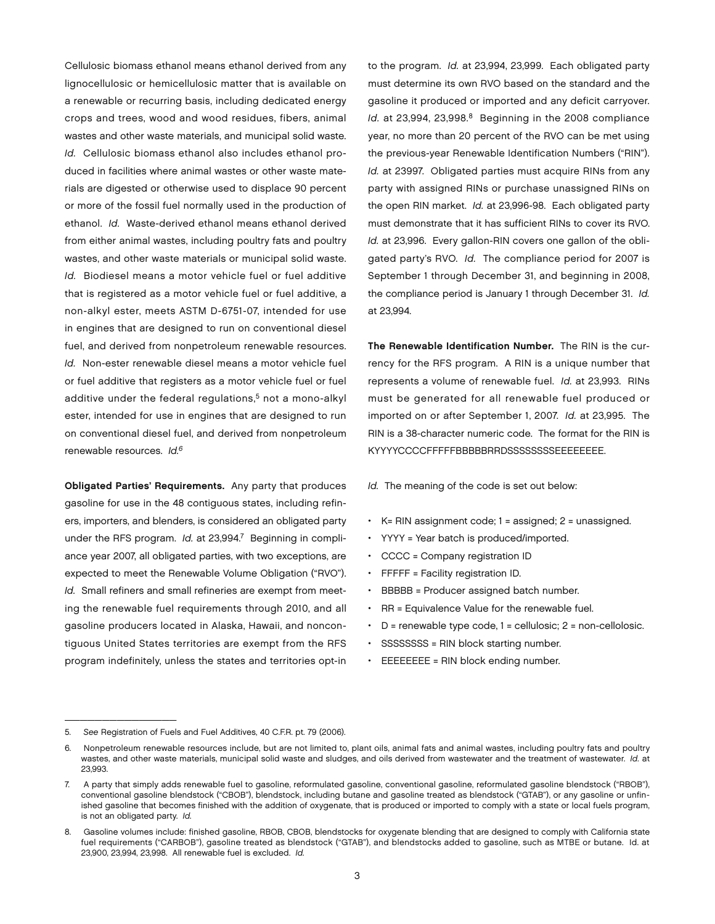Cellulosic biomass ethanol means ethanol derived from any lignocellulosic or hemicellulosic matter that is available on a renewable or recurring basis, including dedicated energy crops and trees, wood and wood residues, fibers, animal wastes and other waste materials, and municipal solid waste. *Id.* Cellulosic biomass ethanol also includes ethanol produced in facilities where animal wastes or other waste materials are digested or otherwise used to displace 90 percent or more of the fossil fuel normally used in the production of ethanol. *Id.* Waste-derived ethanol means ethanol derived from either animal wastes, including poultry fats and poultry wastes, and other waste materials or municipal solid waste. *Id.* Biodiesel means a motor vehicle fuel or fuel additive that is registered as a motor vehicle fuel or fuel additive, a non-alkyl ester, meets ASTM D-6751-07, intended for use in engines that are designed to run on conventional diesel fuel, and derived from nonpetroleum renewable resources. *Id.* Non-ester renewable diesel means a motor vehicle fuel or fuel additive that registers as a motor vehicle fuel or fuel additive under the federal regulations,<sup>5</sup> not a mono-alkyl ester, intended for use in engines that are designed to run on conventional diesel fuel, and derived from nonpetroleum renewable resources. *Id.6*

Obligated Parties' Requirements. Any party that produces gasoline for use in the 48 contiguous states, including refiners, importers, and blenders, is considered an obligated party under the RFS program. *Id.* at 23,994.<sup>7</sup> Beginning in compliance year 2007, all obligated parties, with two exceptions, are expected to meet the Renewable Volume Obligation ("RVO"). *Id.* Small refiners and small refineries are exempt from meeting the renewable fuel requirements through 2010, and all gasoline producers located in Alaska, Hawaii, and noncontiguous United States territories are exempt from the RFS program indefinitely, unless the states and territories opt-in

to the program. *Id.* at 23,994, 23,999. Each obligated party must determine its own RVO based on the standard and the gasoline it produced or imported and any deficit carryover. *Id.* at 23,994, 23,998.<sup>8</sup> Beginning in the 2008 compliance year, no more than 20 percent of the RVO can be met using the previous-year Renewable Identification Numbers ("RIN"). *Id.* at 23997. Obligated parties must acquire RINs from any party with assigned RINs or purchase unassigned RINs on the open RIN market. *Id.* at 23,996-98. Each obligated party must demonstrate that it has sufficient RINs to cover its RVO. *Id.* at 23,996. Every gallon-RIN covers one gallon of the obligated party's RVO. *Id.* The compliance period for 2007 is September 1 through December 31, and beginning in 2008, the compliance period is January 1 through December 31. *Id.*  at 23,994.

The Renewable Identification Number. The RIN is the currency for the RFS program. A RIN is a unique number that represents a volume of renewable fuel. *Id.* at 23,993. RINs must be generated for all renewable fuel produced or imported on or after September 1, 2007. *Id.* at 23,995. The RIN is a 38-character numeric code. The format for the RIN is KYYYYCCCCFFFFFBBBBBRRDSSSSSSSSEEEEEEEE.

*Id.* The meaning of the code is set out below:

- K= RIN assignment code; 1 = assigned; 2 = unassigned.
- YYYY = Year batch is produced/imported.
- CCCC = Company registration ID
- FFFFF = Facility registration ID.
- BBBBB = Producer assigned batch number.
- RR = Equivalence Value for the renewable fuel.
- D = renewable type code, 1 = cellulosic; 2 = non-cellolosic.
- SSSSSSSS = RIN block starting number.
- EEEEEEEE = RIN block ending number.

 $\mathcal{L}=\mathcal{L}=\mathcal{L}=\mathcal{L}=\mathcal{L}=\mathcal{L}=\mathcal{L}=\mathcal{L}=\mathcal{L}=\mathcal{L}=\mathcal{L}=\mathcal{L}=\mathcal{L}=\mathcal{L}=\mathcal{L}=\mathcal{L}=\mathcal{L}=\mathcal{L}=\mathcal{L}=\mathcal{L}=\mathcal{L}=\mathcal{L}=\mathcal{L}=\mathcal{L}=\mathcal{L}=\mathcal{L}=\mathcal{L}=\mathcal{L}=\mathcal{L}=\mathcal{L}=\mathcal{L}=\mathcal{L}=\mathcal{L}=\mathcal{L}=\mathcal{L}=\mathcal{L}=\mathcal{$ 

<sup>5.</sup> *See* Registration of Fuels and Fuel Additives, 40 C.F.R. pt. 79 (2006).

<sup>6.</sup> Nonpetroleum renewable resources include, but are not limited to, plant oils, animal fats and animal wastes, including poultry fats and poultry wastes, and other waste materials, municipal solid waste and sludges, and oils derived from wastewater and the treatment of wastewater. *Id.* at 23,993.

<sup>7.</sup> A party that simply adds renewable fuel to gasoline, reformulated gasoline, conventional gasoline, reformulated gasoline blendstock ("RBOB"), conventional gasoline blendstock ("CBOB"), blendstock, including butane and gasoline treated as blendstock ("GTAB"), or any gasoline or unfinished gasoline that becomes finished with the addition of oxygenate, that is produced or imported to comply with a state or local fuels program, is not an obligated party. *Id.*

<sup>8.</sup> Gasoline volumes include: finished gasoline, RBOB, CBOB, blendstocks for oxygenate blending that are designed to comply with California state fuel requirements ("CARBOB"), gasoline treated as blendstock ("GTAB"), and blendstocks added to gasoline, such as MTBE or butane. Id. at 23,900, 23,994, 23,998. All renewable fuel is excluded. *Id.*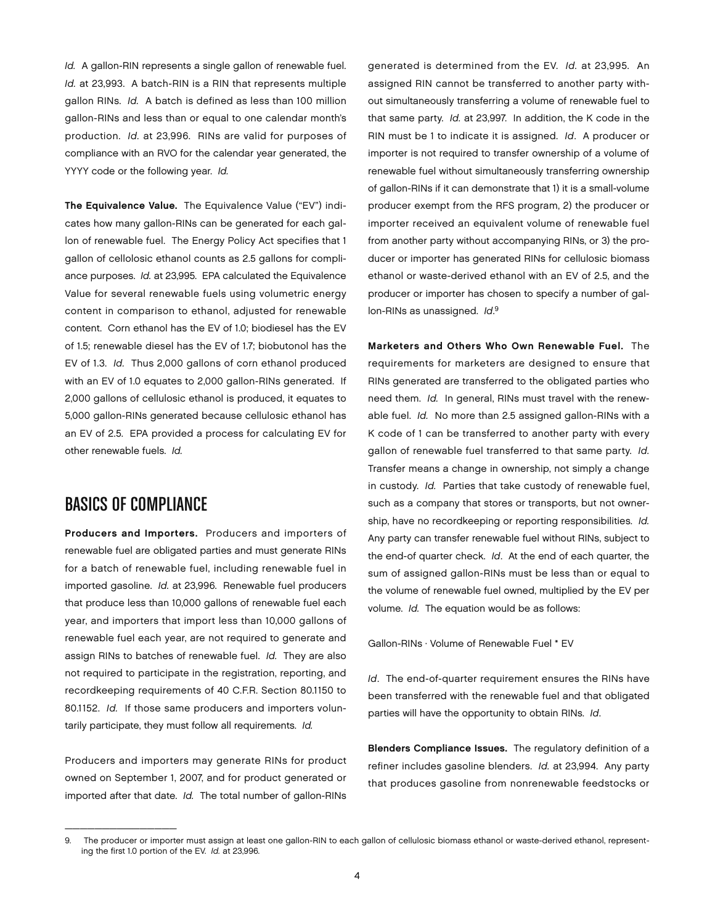*Id.* A gallon-RIN represents a single gallon of renewable fuel. *Id.* at 23,993. A batch-RIN is a RIN that represents multiple gallon RINs. *Id.* A batch is defined as less than 100 million gallon-RINs and less than or equal to one calendar month's production. *Id.* at 23,996. RINs are valid for purposes of compliance with an RVO for the calendar year generated, the YYYY code or the following year. *Id.* 

The Equivalence Value. The Equivalence Value ("EV") indicates how many gallon-RINs can be generated for each gallon of renewable fuel. The Energy Policy Act specifies that 1 gallon of cellolosic ethanol counts as 2.5 gallons for compliance purposes. *Id.* at 23,995. EPA calculated the Equivalence Value for several renewable fuels using volumetric energy content in comparison to ethanol, adjusted for renewable content. Corn ethanol has the EV of 1.0; biodiesel has the EV of 1.5; renewable diesel has the EV of 1.7; biobutonol has the EV of 1.3. *Id.* Thus 2,000 gallons of corn ethanol produced with an EV of 1.0 equates to 2,000 gallon-RINs generated. If 2,000 gallons of cellulosic ethanol is produced, it equates to 5,000 gallon-RINs generated because cellulosic ethanol has an EV of 2.5. EPA provided a process for calculating EV for other renewable fuels. *Id.* 

# Basics of Compliance

 $\mathcal{L}=\mathcal{L}=\mathcal{L}=\mathcal{L}=\mathcal{L}=\mathcal{L}=\mathcal{L}=\mathcal{L}=\mathcal{L}=\mathcal{L}=\mathcal{L}=\mathcal{L}=\mathcal{L}=\mathcal{L}=\mathcal{L}=\mathcal{L}=\mathcal{L}=\mathcal{L}=\mathcal{L}=\mathcal{L}=\mathcal{L}=\mathcal{L}=\mathcal{L}=\mathcal{L}=\mathcal{L}=\mathcal{L}=\mathcal{L}=\mathcal{L}=\mathcal{L}=\mathcal{L}=\mathcal{L}=\mathcal{L}=\mathcal{L}=\mathcal{L}=\mathcal{L}=\mathcal{L}=\mathcal{$ 

Producers and Importers. Producers and importers of renewable fuel are obligated parties and must generate RINs for a batch of renewable fuel, including renewable fuel in imported gasoline. *Id.* at 23,996. Renewable fuel producers that produce less than 10,000 gallons of renewable fuel each year, and importers that import less than 10,000 gallons of renewable fuel each year, are not required to generate and assign RINs to batches of renewable fuel. *Id.* They are also not required to participate in the registration, reporting, and recordkeeping requirements of 40 C.F.R. Section 80.1150 to 80.1152. *Id.* If those same producers and importers voluntarily participate, they must follow all requirements. *Id.*

Producers and importers may generate RINs for product owned on September 1, 2007, and for product generated or imported after that date. *Id.* The total number of gallon-RINs

generated is determined from the EV. *Id.* at 23,995. An assigned RIN cannot be transferred to another party without simultaneously transferring a volume of renewable fuel to that same party. *Id.* at 23,997. In addition, the K code in the RIN must be 1 to indicate it is assigned. *Id*. A producer or importer is not required to transfer ownership of a volume of renewable fuel without simultaneously transferring ownership of gallon-RINs if it can demonstrate that 1) it is a small-volume producer exempt from the RFS program, 2) the producer or importer received an equivalent volume of renewable fuel from another party without accompanying RINs, or 3) the producer or importer has generated RINs for cellulosic biomass ethanol or waste-derived ethanol with an EV of 2.5, and the producer or importer has chosen to specify a number of gallon-RINs as unassigned. *Id*. 9

Marketers and Others Who Own Renewable Fuel. The requirements for marketers are designed to ensure that RINs generated are transferred to the obligated parties who need them. *Id.* In general, RINs must travel with the renewable fuel. *Id.* No more than 2.5 assigned gallon-RINs with a K code of 1 can be transferred to another party with every gallon of renewable fuel transferred to that same party. *Id.* Transfer means a change in ownership, not simply a change in custody. *Id.* Parties that take custody of renewable fuel, such as a company that stores or transports, but not ownership, have no recordkeeping or reporting responsibilities. *Id.* Any party can transfer renewable fuel without RINs, subject to the end-of quarter check. *Id*. At the end of each quarter, the sum of assigned gallon-RINs must be less than or equal to the volume of renewable fuel owned, multiplied by the EV per volume. *Id.* The equation would be as follows:

Gallon-RINs ⋅ Volume of Renewable Fuel \* EV

*Id*. The end-of-quarter requirement ensures the RINs have been transferred with the renewable fuel and that obligated parties will have the opportunity to obtain RINs. *Id*.

Blenders Compliance Issues. The regulatory definition of a refiner includes gasoline blenders. *Id.* at 23,994. Any party that produces gasoline from nonrenewable feedstocks or

The producer or importer must assign at least one gallon-RIN to each gallon of cellulosic biomass ethanol or waste-derived ethanol, representing the first 1.0 portion of the EV. *Id.* at 23,996.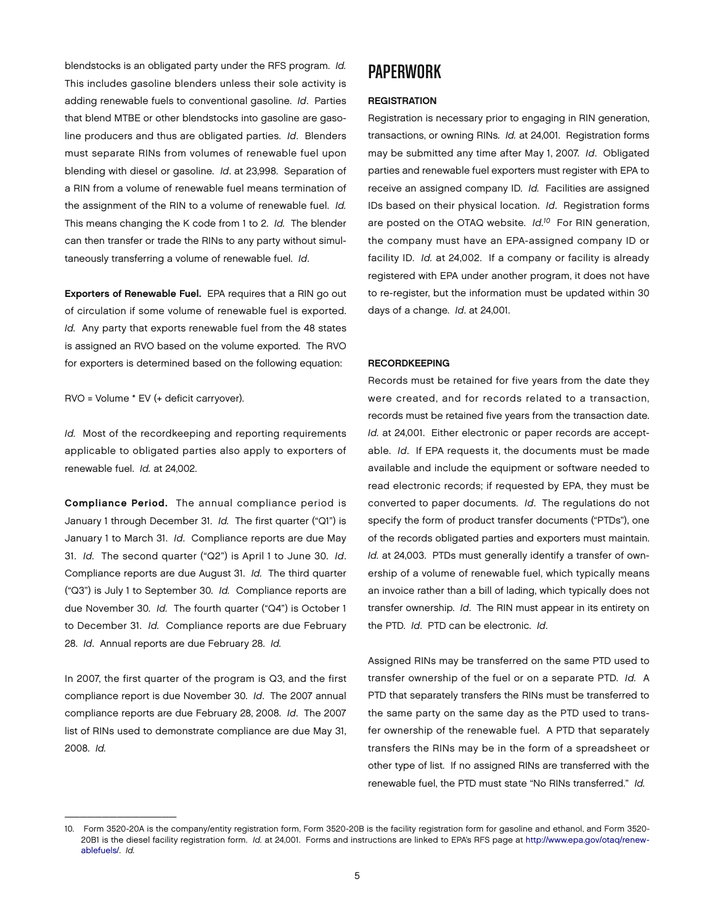blendstocks is an obligated party under the RFS program. *Id.* This includes gasoline blenders unless their sole activity is adding renewable fuels to conventional gasoline. *Id*. Parties that blend MTBE or other blendstocks into gasoline are gasoline producers and thus are obligated parties. *Id*. Blenders must separate RINs from volumes of renewable fuel upon blending with diesel or gasoline. *Id*. at 23,998. Separation of a RIN from a volume of renewable fuel means termination of the assignment of the RIN to a volume of renewable fuel. *Id.* This means changing the K code from 1 to 2. *Id.* The blender can then transfer or trade the RINs to any party without simultaneously transferring a volume of renewable fuel. *Id*.

Exporters of Renewable Fuel. EPA requires that a RIN go out of circulation if some volume of renewable fuel is exported. *Id.* Any party that exports renewable fuel from the 48 states is assigned an RVO based on the volume exported. The RVO for exporters is determined based on the following equation:

RVO = Volume \* EV (+ deficit carryover).

*Id.* Most of the recordkeeping and reporting requirements applicable to obligated parties also apply to exporters of renewable fuel. *Id.* at 24,002.

Compliance Period. The annual compliance period is January 1 through December 31. *Id.* The first quarter ("Q1") is January 1 to March 31. *Id*. Compliance reports are due May 31. *Id.* The second quarter ("Q2") is April 1 to June 30. *Id*. Compliance reports are due August 31. *Id.* The third quarter ("Q3") is July 1 to September 30. *Id.* Compliance reports are due November 30. *Id.* The fourth quarter ("Q4") is October 1 to December 31. *Id.* Compliance reports are due February 28. *Id*. Annual reports are due February 28. *Id.*

In 2007, the first quarter of the program is Q3, and the first compliance report is due November 30. *Id*. The 2007 annual compliance reports are due February 28, 2008. *Id*. The 2007 list of RINs used to demonstrate compliance are due May 31, 2008. *Id.* 

\_\_\_\_\_\_\_\_\_\_\_\_\_\_\_

### **PAPERWORK**

#### **REGISTRATION**

Registration is necessary prior to engaging in RIN generation, transactions, or owning RINs. *Id.* at 24,001. Registration forms may be submitted any time after May 1, 2007. *Id*. Obligated parties and renewable fuel exporters must register with EPA to receive an assigned company ID. *Id.* Facilities are assigned IDs based on their physical location. *Id*. Registration forms are posted on the OTAQ website. *Id.10* For RIN generation, the company must have an EPA-assigned company ID or facility ID. *Id.* at 24,002. If a company or facility is already registered with EPA under another program, it does not have to re-register, but the information must be updated within 30 days of a change. *Id*. at 24,001.

#### **RECORDKEEPING**

Records must be retained for five years from the date they were created, and for records related to a transaction, records must be retained five years from the transaction date. *Id.* at 24,001. Either electronic or paper records are acceptable. *Id*. If EPA requests it, the documents must be made available and include the equipment or software needed to read electronic records; if requested by EPA, they must be converted to paper documents. *Id*. The regulations do not specify the form of product transfer documents ("PTDs"), one of the records obligated parties and exporters must maintain. *Id.* at 24,003. PTDs must generally identify a transfer of ownership of a volume of renewable fuel, which typically means an invoice rather than a bill of lading, which typically does not transfer ownership. *Id*. The RIN must appear in its entirety on the PTD. *Id*. PTD can be electronic. *Id*.

Assigned RINs may be transferred on the same PTD used to transfer ownership of the fuel or on a separate PTD. *Id.* A PTD that separately transfers the RINs must be transferred to the same party on the same day as the PTD used to transfer ownership of the renewable fuel. A PTD that separately transfers the RINs may be in the form of a spreadsheet or other type of list. If no assigned RINs are transferred with the renewable fuel, the PTD must state "No RINs transferred." *Id.*

<sup>10.</sup> Form 3520-20A is the company/entity registration form, Form 3520-20B is the facility registration form for gasoline and ethanol, and Form 3520- 20B1 is the diesel facility registration form. *Id.* at 24,001. Forms and instructions are linked to EPA's RFS page at [http://www.epa.gov/otaq/renew](http://www.epa.gov/otaq/renewablefuels)[ablefuels/.](http://www.epa.gov/otaq/renewablefuels) *Id.*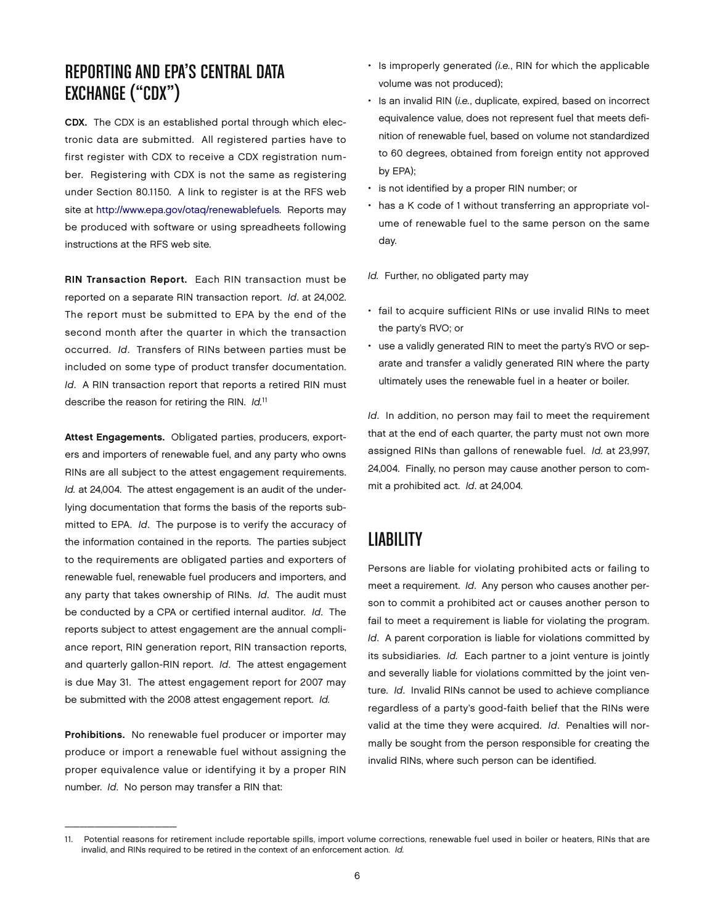# Reporting and EPA's Central Data Exchange ("CDX")

CDX. The CDX is an established portal through which electronic data are submitted. All registered parties have to first register with CDX to receive a CDX registration number. Registering with CDX is not the same as registering under Section 80.1150. A link to register is at the RFS web site at [http://www.epa.gov/otaq/renewablefuels.](http://www.epa.gov/otaq/renewablefuels) Reports may be produced with software or using spreadheets following instructions at the RFS web site.

RIN Transaction Report. Each RIN transaction must be reported on a separate RIN transaction report. *Id*. at 24,002. The report must be submitted to EPA by the end of the second month after the quarter in which the transaction occurred. *Id*. Transfers of RINs between parties must be included on some type of product transfer documentation. *Id*. A RIN transaction report that reports a retired RIN must describe the reason for retiring the RIN. *Id.*<sup>11</sup>

Attest Engagements. Obligated parties, producers, exporters and importers of renewable fuel, and any party who owns RINs are all subject to the attest engagement requirements. *Id.* at 24,004. The attest engagement is an audit of the underlying documentation that forms the basis of the reports submitted to EPA. *Id*. The purpose is to verify the accuracy of the information contained in the reports. The parties subject to the requirements are obligated parties and exporters of renewable fuel, renewable fuel producers and importers, and any party that takes ownership of RINs. *Id*. The audit must be conducted by a CPA or certified internal auditor. *Id*. The reports subject to attest engagement are the annual compliance report, RIN generation report, RIN transaction reports, and quarterly gallon-RIN report. *Id*. The attest engagement is due May 31. The attest engagement report for 2007 may be submitted with the 2008 attest engagement report. *Id.*

Prohibitions. No renewable fuel producer or importer may produce or import a renewable fuel without assigning the proper equivalence value or identifying it by a proper RIN number. *Id*. No person may transfer a RIN that:

\_\_\_\_\_\_\_\_\_\_\_\_\_\_\_

- Is improperly generated *(i.e.*, RIN for which the applicable volume was not produced);
- Is an invalid RIN (*i.e.*, duplicate, expired, based on incorrect equivalence value, does not represent fuel that meets definition of renewable fuel, based on volume not standardized to 60 degrees, obtained from foreign entity not approved by EPA);
- is not identified by a proper RIN number; or
- has a K code of 1 without transferring an appropriate volume of renewable fuel to the same person on the same day.

*Id.* Further, no obligated party may

- fail to acquire sufficient RINs or use invalid RINs to meet the party's RVO; or
- use a validly generated RIN to meet the party's RVO or separate and transfer a validly generated RIN where the party ultimately uses the renewable fuel in a heater or boiler.

*Id*. In addition, no person may fail to meet the requirement that at the end of each quarter, the party must not own more assigned RINs than gallons of renewable fuel. *Id.* at 23,997, 24,004. Finally, no person may cause another person to commit a prohibited act. *Id*. at 24,004.

## **LIABILITY**

Persons are liable for violating prohibited acts or failing to meet a requirement. *Id*. Any person who causes another person to commit a prohibited act or causes another person to fail to meet a requirement is liable for violating the program. *Id*. A parent corporation is liable for violations committed by its subsidiaries. *Id.* Each partner to a joint venture is jointly and severally liable for violations committed by the joint venture. *Id*. Invalid RINs cannot be used to achieve compliance regardless of a party's good-faith belief that the RINs were valid at the time they were acquired. *Id*. Penalties will normally be sought from the person responsible for creating the invalid RINs, where such person can be identified.

<sup>11.</sup> Potential reasons for retirement include reportable spills, import volume corrections, renewable fuel used in boiler or heaters, RINs that are invalid, and RINs required to be retired in the context of an enforcement action. *Id.*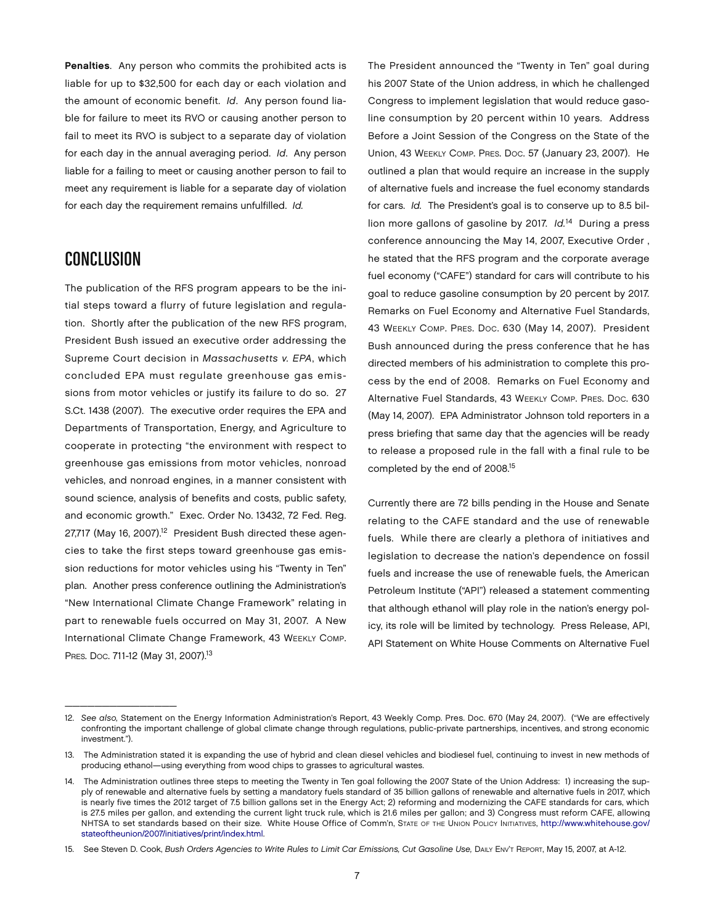Penalties. Any person who commits the prohibited acts is liable for up to \$32,500 for each day or each violation and the amount of economic benefit. *Id*. Any person found liable for failure to meet its RVO or causing another person to fail to meet its RVO is subject to a separate day of violation for each day in the annual averaging period. *Id*. Any person liable for a failing to meet or causing another person to fail to meet any requirement is liable for a separate day of violation for each day the requirement remains unfulfilled. *Id.*

### Conclusion

 $\mathcal{L}=\mathcal{L}=\mathcal{L}=\mathcal{L}=\mathcal{L}=\mathcal{L}=\mathcal{L}=\mathcal{L}=\mathcal{L}=\mathcal{L}=\mathcal{L}=\mathcal{L}=\mathcal{L}=\mathcal{L}=\mathcal{L}=\mathcal{L}=\mathcal{L}=\mathcal{L}=\mathcal{L}=\mathcal{L}=\mathcal{L}=\mathcal{L}=\mathcal{L}=\mathcal{L}=\mathcal{L}=\mathcal{L}=\mathcal{L}=\mathcal{L}=\mathcal{L}=\mathcal{L}=\mathcal{L}=\mathcal{L}=\mathcal{L}=\mathcal{L}=\mathcal{L}=\mathcal{L}=\mathcal{$ 

The publication of the RFS program appears to be the initial steps toward a flurry of future legislation and regulation. Shortly after the publication of the new RFS program, President Bush issued an executive order addressing the Supreme Court decision in *Massachusetts v. EPA*, which concluded EPA must regulate greenhouse gas emissions from motor vehicles or justify its failure to do so. 27 S.Ct. 1438 (2007). The executive order requires the EPA and Departments of Transportation, Energy, and Agriculture to cooperate in protecting "the environment with respect to greenhouse gas emissions from motor vehicles, nonroad vehicles, and nonroad engines, in a manner consistent with sound science, analysis of benefits and costs, public safety, and economic growth." Exec. Order No. 13432, 72 Fed. Reg. 27,717 (May 16, 2007).<sup>12</sup> President Bush directed these agencies to take the first steps toward greenhouse gas emission reductions for motor vehicles using his "Twenty in Ten" plan. Another press conference outlining the Administration's "New International Climate Change Framework" relating in part to renewable fuels occurred on May 31, 2007. A New International Climate Change Framework, 43 Weekly Comp. PRES. Doc. 711-12 (May 31, 2007).<sup>13</sup>

The President announced the "Twenty in Ten" goal during his 2007 State of the Union address, in which he challenged Congress to implement legislation that would reduce gasoline consumption by 20 percent within 10 years. Address Before a Joint Session of the Congress on the State of the Union, 43 Weekly Comp. Pres. Doc. 57 (January 23, 2007). He outlined a plan that would require an increase in the supply of alternative fuels and increase the fuel economy standards for cars. *Id.* The President's goal is to conserve up to 8.5 billion more gallons of gasoline by 2017. *Id.*<sup>14</sup>During a press conference announcing the May 14, 2007, Executive Order , he stated that the RFS program and the corporate average fuel economy ("CAFE") standard for cars will contribute to his goal to reduce gasoline consumption by 20 percent by 2017. Remarks on Fuel Economy and Alternative Fuel Standards, 43 Weekly Comp. Pres. Doc. 630 (May 14, 2007). President Bush announced during the press conference that he has directed members of his administration to complete this process by the end of 2008. Remarks on Fuel Economy and Alternative Fuel Standards, 43 Weekly Comp. Pres. Doc. 630 (May 14, 2007). EPA Administrator Johnson told reporters in a press briefing that same day that the agencies will be ready to release a proposed rule in the fall with a final rule to be completed by the end of 2008.15

Currently there are 72 bills pending in the House and Senate relating to the CAFE standard and the use of renewable fuels. While there are clearly a plethora of initiatives and legislation to decrease the nation's dependence on fossil fuels and increase the use of renewable fuels, the American Petroleum Institute ("API") released a statement commenting that although ethanol will play role in the nation's energy policy, its role will be limited by technology. Press Release, API, API Statement on White House Comments on Alternative Fuel

<sup>12.</sup> *See also,* Statement on the Energy Information Administration's Report, 43 Weekly Comp. Pres. Doc. 670 (May 24, 2007). ("We are effectively confronting the important challenge of global climate change through regulations, public-private partnerships, incentives, and strong economic investment.").

<sup>13.</sup> The Administration stated it is expanding the use of hybrid and clean diesel vehicles and biodiesel fuel, continuing to invest in new methods of producing ethanol—using everything from wood chips to grasses to agricultural wastes.

<sup>14.</sup> The Administration outlines three steps to meeting the Twenty in Ten goal following the 2007 State of the Union Address: 1) increasing the supply of renewable and alternative fuels by setting a mandatory fuels standard of 35 billion gallons of renewable and alternative fuels in 2017, which is nearly five times the 2012 target of 7.5 billion gallons set in the Energy Act; 2) reforming and modernizing the CAFE standards for cars, which is 27.5 miles per gallon, and extending the current light truck rule, which is 21.6 miles per gallon; and 3) Congress must reform CAFE, allowing NHTSA to set standards based on their size. White House Office of Comm'n, State of the Union Policy Initiatives, [http://www.whitehouse.gov/](http://www.whitehouse.gov/stateoftheunion/2007/initiatives/print/index.html) [stateoftheunion/2007/initiatives/print/index.html.](http://www.whitehouse.gov/stateoftheunion/2007/initiatives/print/index.html) 

<sup>15.</sup> See Steven D. Cook, *Bush Orders Agencies to Write Rules to Limit Car Emissions, Cut Gasoline Use,* Daily Env't Report, May 15, 2007, at A-12.